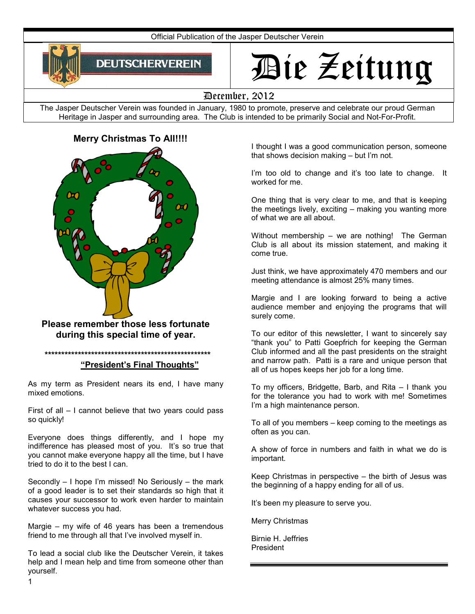

# Die Zeitung

## December, 2012

The Jasper Deutscher Verein was founded in January, 1980 to promote, preserve and celebrate our proud German Heritage in Jasper and surrounding area. The Club is intended to be primarily Social and Not-For-Profit.

## **Merry Christmas To All!!!!**



**Please remember those less fortunate during this special time of year.** 

#### **\*\*\*\*\*\*\*\*\*\*\*\*\*\*\*\*\*\*\*\*\*\*\*\*\*\*\*\*\*\*\*\*\*\*\*\*\*\*\*\*\*\*\*\*\*\*\*\*\*\***

**"President's Final Thoughts"** 

As my term as President nears its end, I have many mixed emotions.

First of all – I cannot believe that two years could pass so quickly!

Everyone does things differently, and I hope my indifference has pleased most of you. It's so true that you cannot make everyone happy all the time, but I have tried to do it to the best I can.

Secondly – I hope I'm missed! No Seriously – the mark of a good leader is to set their standards so high that it causes your successor to work even harder to maintain whatever success you had.

Margie – my wife of 46 years has been a tremendous friend to me through all that I've involved myself in.

To lead a social club like the Deutscher Verein, it takes help and I mean help and time from someone other than yourself.

I thought I was a good communication person, someone that shows decision making – but I'm not.

I'm too old to change and it's too late to change. It worked for me.

One thing that is very clear to me, and that is keeping the meetings lively, exciting – making you wanting more of what we are all about.

Without membership – we are nothing! The German Club is all about its mission statement, and making it come true.

Just think, we have approximately 470 members and our meeting attendance is almost 25% many times.

Margie and I are looking forward to being a active audience member and enjoying the programs that will surely come.

To our editor of this newsletter, I want to sincerely say "thank you" to Patti Goepfrich for keeping the German Club informed and all the past presidents on the straight and narrow path. Patti is a rare and unique person that all of us hopes keeps her job for a long time.

To my officers, Bridgette, Barb, and Rita – I thank you for the tolerance you had to work with me! Sometimes I'm a high maintenance person.

To all of you members – keep coming to the meetings as often as you can.

A show of force in numbers and faith in what we do is important.

Keep Christmas in perspective – the birth of Jesus was the beginning of a happy ending for all of us.

It's been my pleasure to serve you.

Merry Christmas

Birnie H. Jeffries President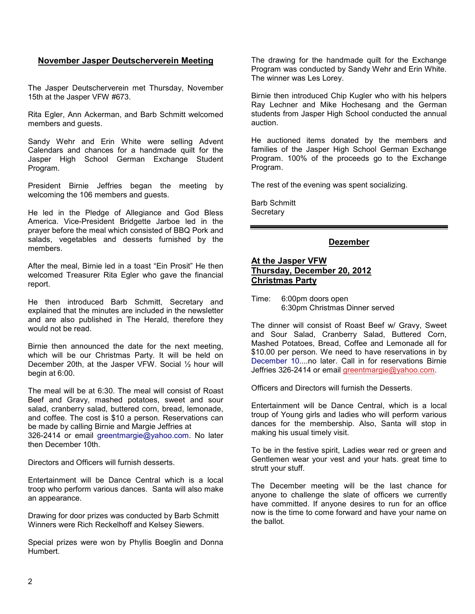## **November Jasper Deutscherverein Meeting**

The Jasper Deutscherverein met Thursday, November 15th at the Jasper VFW #673.

Rita Egler, Ann Ackerman, and Barb Schmitt welcomed members and guests.

Sandy Wehr and Erin White were selling Advent Calendars and chances for a handmade quilt for the Jasper High School German Exchange Student Program.

President Birnie Jeffries began the meeting by welcoming the 106 members and guests.

He led in the Pledge of Allegiance and God Bless America. Vice-President Bridgette Jarboe led in the prayer before the meal which consisted of BBQ Pork and salads, vegetables and desserts furnished by the members.

After the meal, Birnie led in a toast "Ein Prosit" He then welcomed Treasurer Rita Egler who gave the financial report.

He then introduced Barb Schmitt, Secretary and explained that the minutes are included in the newsletter and are also published in The Herald, therefore they would not be read.

Birnie then announced the date for the next meeting, which will be our Christmas Party. It will be held on December 20th, at the Jasper VFW. Social ½ hour will begin at 6:00.

The meal will be at 6:30. The meal will consist of Roast Beef and Gravy, mashed potatoes, sweet and sour salad, cranberry salad, buttered corn, bread, lemonade, and coffee. The cost is \$10 a person. Reservations can be made by calling Birnie and Margie Jeffries at 326-2414 or email greentmargie@yahoo.com. No later then December 10th.

Directors and Officers will furnish desserts.

Entertainment will be Dance Central which is a local troop who perform various dances. Santa will also make an appearance.

Drawing for door prizes was conducted by Barb Schmitt Winners were Rich Reckelhoff and Kelsey Siewers.

Special prizes were won by Phyllis Boeglin and Donna Humbert.

The drawing for the handmade quilt for the Exchange Program was conducted by Sandy Wehr and Erin White. The winner was Les Lorey.

Birnie then introduced Chip Kugler who with his helpers Ray Lechner and Mike Hochesang and the German students from Jasper High School conducted the annual auction.

He auctioned items donated by the members and families of the Jasper High School German Exchange Program. 100% of the proceeds go to the Exchange Program.

The rest of the evening was spent socializing.

Barb Schmitt **Secretary** 

## **Dezember**

### **At the Jasper VFW Thursday, December 20, 2012 Christmas Party**

Time: 6:00pm doors open 6:30pm Christmas Dinner served

The dinner will consist of Roast Beef w/ Gravy, Sweet and Sour Salad, Cranberry Salad, Buttered Corn, Mashed Potatoes, Bread, Coffee and Lemonade all for \$10.00 per person. We need to have reservations in by December 10....no later. Call in for reservations Birnie Jeffries 326-2414 or email greentmargie@yahoo.com.

Officers and Directors will furnish the Desserts.

Entertainment will be Dance Central, which is a local troup of Young girls and ladies who will perform various dances for the membership. Also, Santa will stop in making his usual timely visit.

To be in the festive spirit, Ladies wear red or green and Gentlemen wear your vest and your hats. great time to strutt your stuff.

The December meeting will be the last chance for anyone to challenge the slate of officers we currently have committed. If anyone desires to run for an office now is the time to come forward and have your name on the ballot.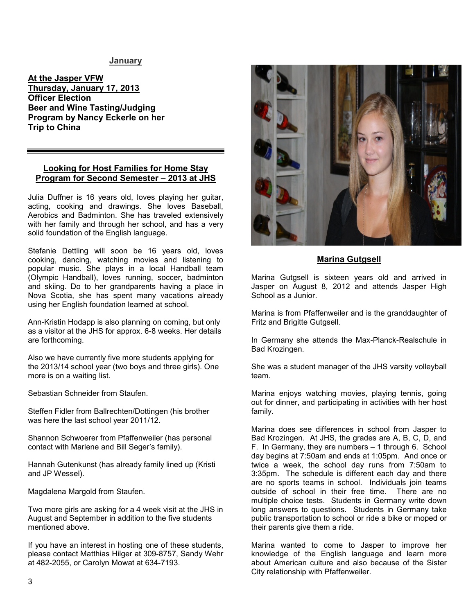#### **January**

**At the Jasper VFW Thursday, January 17, 2013 Officer Election Beer and Wine Tasting/Judging Program by Nancy Eckerle on her Trip to China** 

## **Looking for Host Families for Home Stay Program for Second Semester – 2013 at JHS**

Julia Duffner is 16 years old, loves playing her guitar, acting, cooking and drawings. She loves Baseball, Aerobics and Badminton. She has traveled extensively with her family and through her school, and has a very solid foundation of the English language.

Stefanie Dettling will soon be 16 years old, loves cooking, dancing, watching movies and listening to popular music. She plays in a local Handball team (Olympic Handball), loves running, soccer, badminton and skiing. Do to her grandparents having a place in Nova Scotia, she has spent many vacations already using her English foundation learned at school.

Ann-Kristin Hodapp is also planning on coming, but only as a visitor at the JHS for approx. 6-8 weeks. Her details are forthcoming.

Also we have currently five more students applying for the 2013/14 school year (two boys and three girls). One more is on a waiting list.

Sebastian Schneider from Staufen.

Steffen Fidler from Ballrechten/Dottingen (his brother was here the last school year 2011/12.

Shannon Schwoerer from Pfaffenweiler (has personal contact with Marlene and Bill Seger's family).

Hannah Gutenkunst (has already family lined up (Kristi and JP Wessel).

Magdalena Margold from Staufen.

Two more girls are asking for a 4 week visit at the JHS in August and September in addition to the five students mentioned above.

If you have an interest in hosting one of these students, please contact Matthias Hilger at 309-8757, Sandy Wehr at 482-2055, or Carolyn Mowat at 634-7193.



## **Marina Gutgsell**

Marina Gutgsell is sixteen years old and arrived in Jasper on August 8, 2012 and attends Jasper High School as a Junior.

Marina is from Pfaffenweiler and is the granddaughter of Fritz and Brigitte Gutgsell.

In Germany she attends the Max-Planck-Realschule in Bad Krozingen.

She was a student manager of the JHS varsity volleyball team.

Marina enjoys watching movies, playing tennis, going out for dinner, and participating in activities with her host family.

Marina does see differences in school from Jasper to Bad Krozingen. At JHS, the grades are A, B, C, D, and F. In Germany, they are numbers – 1 through 6. School day begins at 7:50am and ends at 1:05pm. And once or twice a week, the school day runs from 7:50am to 3:35pm. The schedule is different each day and there are no sports teams in school. Individuals join teams outside of school in their free time. There are no multiple choice tests. Students in Germany write down long answers to questions. Students in Germany take public transportation to school or ride a bike or moped or their parents give them a ride.

Marina wanted to come to Jasper to improve her knowledge of the English language and learn more about American culture and also because of the Sister City relationship with Pfaffenweiler.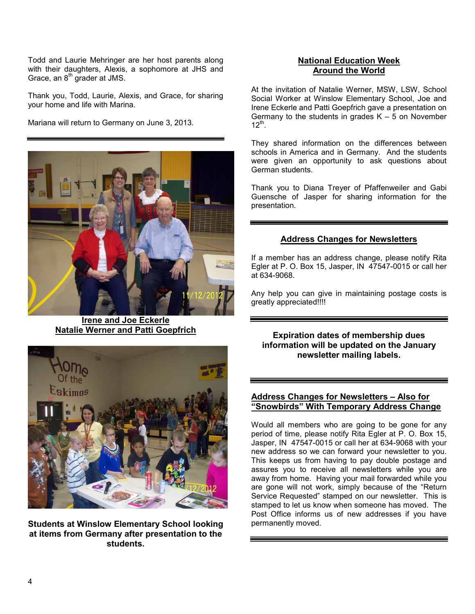Todd and Laurie Mehringer are her host parents along with their daughters, Alexis, a sophomore at JHS and Grace, an 8<sup>th</sup> grader at JMS.

Thank you, Todd, Laurie, Alexis, and Grace, for sharing your home and life with Marina.

Mariana will return to Germany on June 3, 2013.



**Irene and Joe Eckerle Natalie Werner and Patti Goepfrich** 



**Students at Winslow Elementary School looking at items from Germany after presentation to the students.** 

## **National Education Week Around the World**

At the invitation of Natalie Werner, MSW, LSW, School Social Worker at Winslow Elementary School, Joe and Irene Eckerle and Patti Goepfrich gave a presentation on Germany to the students in grades  $K - 5$  on November  $12^{th}$ .

They shared information on the differences between schools in America and in Germany. And the students were given an opportunity to ask questions about German students.

Thank you to Diana Treyer of Pfaffenweiler and Gabi Guensche of Jasper for sharing information for the presentation.

## **Address Changes for Newsletters**

If a member has an address change, please notify Rita Egler at P. O. Box 15, Jasper, IN 47547-0015 or call her at 634-9068.

Any help you can give in maintaining postage costs is greatly appreciated!!!!

## **Expiration dates of membership dues information will be updated on the January newsletter mailing labels.**

## **Address Changes for Newsletters – Also for "Snowbirds" With Temporary Address Change**

Would all members who are going to be gone for any period of time, please notify Rita Egler at P. O. Box 15, Jasper, IN 47547-0015 or call her at 634-9068 with your new address so we can forward your newsletter to you. This keeps us from having to pay double postage and assures you to receive all newsletters while you are away from home. Having your mail forwarded while you are gone will not work, simply because of the "Return Service Requested" stamped on our newsletter. This is stamped to let us know when someone has moved. The Post Office informs us of new addresses if you have permanently moved.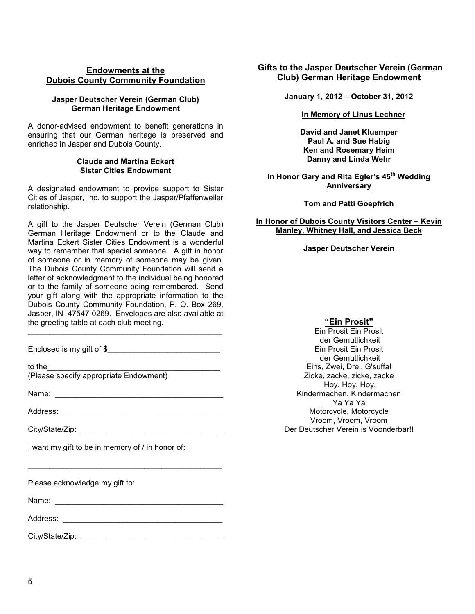## **Endowments at the Dubois County Community Foundation**

#### **Jasper Deutscher Verein (German Club) German Heritage Endowment**

A donor-advised endowment to benefit generations in ensuring that our German heritage is preserved and enriched in Jasper and Dubois County.

#### **Claude and Martina Eckert Sister Cities Endowment**

A designated endowment to provide support to Sister Cities of Jasper, Inc. to support the Jasper/Pfaffenweiler relationship.

A gift to the Jasper Deutscher Verein (German Club) German Heritage Endowment or to the Claude and Martina Eckert Sister Cities Endowment is a wonderful way to remember that special someone. A gift in honor of someone or in memory of someone may be given. The Dubois County Community Foundation will send a letter of acknowledgment to the individual being honored or to the family of someone being remembered. Send your gift along with the appropriate information to the Dubois County Community Foundation, P. O. Box 269, Jasper, IN 47547-0269. Envelopes are also available at the greeting table at each club meeting.

\_\_\_\_\_\_\_\_\_\_\_\_\_\_\_\_\_\_\_\_\_\_\_\_\_\_\_\_\_\_\_\_\_\_\_\_\_\_\_\_\_\_\_\_\_

Enclosed is my gift of \$

to the\_\_\_\_\_\_\_\_\_\_\_\_\_\_\_\_\_\_\_\_\_\_\_\_\_\_\_\_\_\_\_\_\_\_\_\_\_\_\_\_

(Please specify appropriate Endowment)

Name: \_\_\_\_\_\_\_\_\_\_\_\_\_\_\_\_\_\_\_\_\_\_\_\_\_\_\_\_\_\_\_\_\_\_\_\_\_\_\_

Address: \_\_\_\_\_\_\_\_\_\_\_\_\_\_\_\_\_\_\_\_\_\_\_\_\_\_\_\_\_\_\_\_\_\_\_\_\_

City/State/Zip: \_\_\_\_\_\_\_\_\_\_\_\_\_\_\_\_\_\_\_\_\_\_\_\_\_\_\_\_\_\_\_\_\_

I want my gift to be in memory of / in honor of:

\_\_\_\_\_\_\_\_\_\_\_\_\_\_\_\_\_\_\_\_\_\_\_\_\_\_\_\_\_\_\_\_\_\_\_\_\_\_\_\_\_\_\_\_\_

Please acknowledge my gift to:

Name: \_\_\_\_\_\_\_\_\_\_\_\_\_\_\_\_\_\_\_\_\_\_\_\_\_\_\_\_\_\_\_\_\_\_\_\_\_\_\_

Address: \_\_\_\_\_\_\_\_\_\_\_\_\_\_\_\_\_\_\_\_\_\_\_\_\_\_\_\_\_\_\_\_\_\_\_\_\_

City/State/Zip: \_\_\_\_\_\_\_\_\_\_\_\_\_\_\_\_\_\_\_\_\_\_\_\_\_\_\_\_\_\_\_\_\_

## **'Gifts to the Jasper Deutscher Verein (German Club) German Heritage Endowment**

**January 1, 2012 – October 31, 2012** 

#### **In Memory of Linus Lechner**

**David and Janet Kluemper Paul A. and Sue Habig Ken and Rosemary Heim Danny and Linda Wehr** 

#### **In Honor Gary and Rita Egler's 45th Wedding Anniversary**

## **Tom and Patti Goepfrich**

#### **In Honor of Dubois County Visitors Center – Kevin Manley, Whitney Hall, and Jessica Beck**

**Jasper Deutscher Verein** 

## **"Ein Prosit"**

Ein Prosit Ein Prosit der Gemutlichkeit Ein Prosit Ein Prosit der Gemutlichkeit Eins, Zwei, Drei, G'suffa! Zicke, zacke, zicke, zacke Hoy, Hoy, Hoy, Kindermachen, Kindermachen Ya Ya Ya Motorcycle, Motorcycle Vroom, Vroom, Vroom Der Deutscher Verein is Voonderbar!!